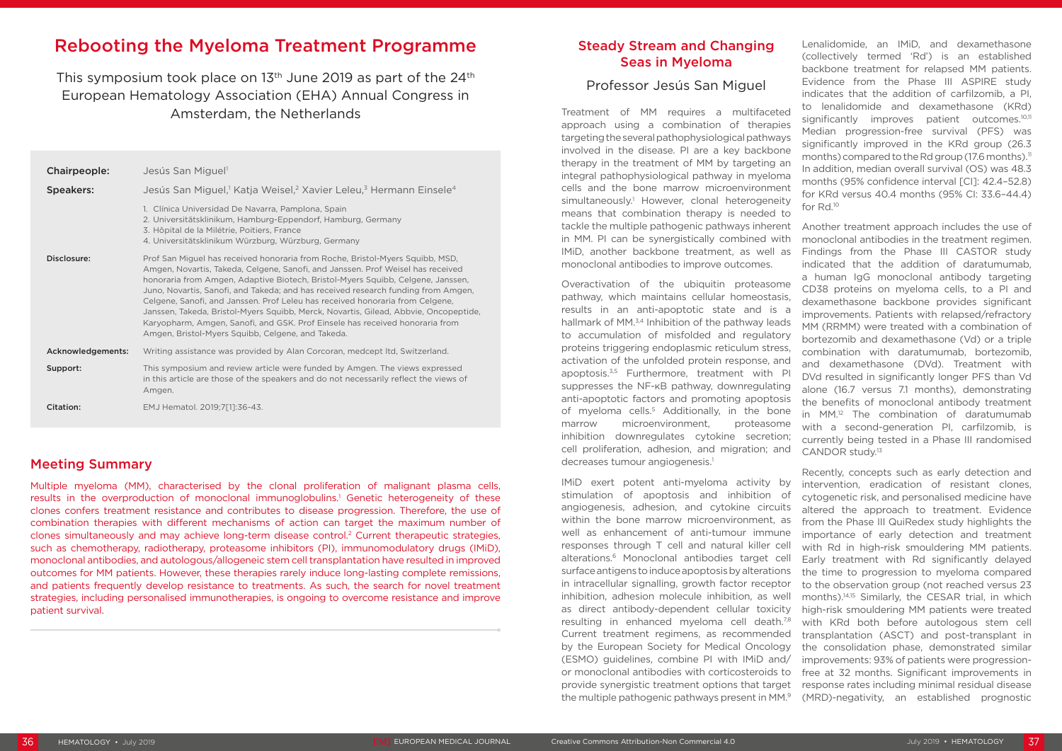# Rebooting the Myeloma Treatment Programme

This symposium took place on 13<sup>th</sup> June 2019 as part of the 24<sup>th</sup> European Hematology Association (EHA) Annual Congress in Amsterdam, the Netherlands

| Chairpeople:      | Jesús San Miguel <sup>1</sup>                                                                                                                                                                                                                                                                                                                                                                                                                                                                                                                                                                                                                          |
|-------------------|--------------------------------------------------------------------------------------------------------------------------------------------------------------------------------------------------------------------------------------------------------------------------------------------------------------------------------------------------------------------------------------------------------------------------------------------------------------------------------------------------------------------------------------------------------------------------------------------------------------------------------------------------------|
| <b>Speakers:</b>  | Jesús San Miguel, <sup>1</sup> Katja Weisel, <sup>2</sup> Xavier Leleu, <sup>3</sup> Hermann Einsele <sup>4</sup>                                                                                                                                                                                                                                                                                                                                                                                                                                                                                                                                      |
|                   | 1. Clínica Universidad De Navarra, Pamplona, Spain<br>2. Universitätsklinikum, Hamburg-Eppendorf, Hamburg, Germany<br>3. Hôpital de la Milétrie, Poitiers, France<br>4. Universitätsklinikum Würzburg, Würzburg, Germany                                                                                                                                                                                                                                                                                                                                                                                                                               |
| Disclosure:       | Prof San Miguel has received honoraria from Roche, Bristol-Myers Squibb, MSD,<br>Amgen, Novartis, Takeda, Celgene, Sanofi, and Janssen. Prof Weisel has received<br>honoraria from Amgen, Adaptive Biotech, Bristol-Myers Squibb, Celgene, Janssen,<br>Juno, Novartis, Sanofi, and Takeda; and has received research funding from Amgen,<br>Celgene, Sanofi, and Janssen. Prof Leleu has received honoraria from Celgene,<br>Janssen, Takeda, Bristol-Myers Squibb, Merck, Novartis, Gilead, Abbvie, Oncopeptide,<br>Karyopharm, Amgen, Sanofi, and GSK. Prof Einsele has received honoraria from<br>Amgen, Bristol-Myers Squibb, Celgene, and Takeda. |
| Acknowledgements: | Writing assistance was provided by Alan Corcoran, medcept ltd, Switzerland.                                                                                                                                                                                                                                                                                                                                                                                                                                                                                                                                                                            |
| Support:          | This symposium and review article were funded by Amgen. The views expressed<br>in this article are those of the speakers and do not necessarily reflect the views of<br>Amgen.                                                                                                                                                                                                                                                                                                                                                                                                                                                                         |
| Citation:         | EMJ Hematol. 2019;7[1]:36-43.                                                                                                                                                                                                                                                                                                                                                                                                                                                                                                                                                                                                                          |

tackle the multiple pathogenic pathways inherent in MM. PI can be synergistically combined with IMiD, another backbone treatment, as well as monoclonal antibodies to improve outcomes. Overactivation of the ubiquitin proteasome pathway, which maintains cellular homeostasis, results in an anti-apoptotic state and is a hallmark of MM.<sup>3,4</sup> Inhibition of the pathway leads to accumulation of misfolded and regulatory proteins triggering endoplasmic reticulum stress, activation of the unfolded protein response, and apoptosis.<sup>3,5</sup> Furthermore, treatment with PI suppresses the NF-κB pathway, downregulating anti-apoptotic factors and promoting apoptosis of myeloma cells.<sup>5</sup> Additionally, in the bone marrow microenvironment, proteasome inhibition downregulates cytokine secretion; cell proliferation, adhesion, and migration; and decreases tumour angiogenesis.<sup>1</sup> Another treatment approach includes the use of monoclonal antibodies in the treatment regimen. Findings from the Phase III CASTOR study indicated that the addition of daratumumab, a human IgG monoclonal antibody targeting CD38 proteins on myeloma cells, to a PI and dexamethasone backbone provides significant improvements. Patients with relapsed/refractory MM (RRMM) were treated with a combination of bortezomib and dexamethasone (Vd) or a triple combination with daratumumab, bortezomib, and dexamethasone (DVd). Treatment with DVd resulted in significantly longer PFS than Vd alone (16.7 versus 7.1 months), demonstrating the benefits of monoclonal antibody treatment in MM.12 The combination of daratumumab with a second-generation PI, carfilzomib, is currently being tested in a Phase III randomised CANDOR study.<sup>13</sup>

# Meeting Summary

Multiple myeloma (MM), characterised by the clonal proliferation of malignant plasma cells, results in the overproduction of monoclonal immunoglobulins.<sup>1</sup> Genetic heterogeneity of these clones confers treatment resistance and contributes to disease progression. Therefore, the use of combination therapies with different mechanisms of action can target the maximum number of clones simultaneously and may achieve long-term disease control.2 Current therapeutic strategies, such as chemotherapy, radiotherapy, proteasome inhibitors (PI), immunomodulatory drugs (IMiD), monoclonal antibodies, and autologous/allogeneic stem cell transplantation have resulted in improved outcomes for MM patients. However, these therapies rarely induce long-lasting complete remissions, and patients frequently develop resistance to treatments. As such, the search for novel treatment strategies, including personalised immunotherapies, is ongoing to overcome resistance and improve patient survival.

# Steady Stream and Changing Seas in Myeloma

# Professor Jesús San Miguel

Treatment of MM requires a multifaceted approach using a combination of therapies targeting the several pathophysiological pathways involved in the disease. PI are a key backbone therapy in the treatment of MM by targeting an integral pathophysiological pathway in myeloma cells and the bone marrow microenvironment simultaneously.<sup>1</sup> However, clonal heterogeneity means that combination therapy is needed to

Lenalidomide, an IMiD, and dexamethasone (collectively termed 'Rd') is an established backbone treatment for relapsed MM patients. Evidence from the Phase III ASPIRE study indicates that the addition of carfilzomib, a PI, to lenalidomide and dexamethasone (KRd) significantly improves patient outcomes.<sup>10,11</sup> Median progression-free survival (PFS) was significantly improved in the KRd group (26.3 months) compared to the Rd group (17.6 months).<sup>11</sup> In addition, median overall survival (OS) was 48.3 months (95% confidence interval [CI]: 42.4–52.8) for KRd versus 40.4 months (95% CI: 33.6–44.4) for Rd.10

IMiD exert potent anti-myeloma activity by stimulation of apoptosis and inhibition of angiogenesis, adhesion, and cytokine circuits within the bone marrow microenvironment, as well as enhancement of anti-tumour immune responses through T cell and natural killer cell alterations.6 Monoclonal antibodies target cell surface antigens to induce apoptosis by alterations in intracellular signalling, growth factor receptor inhibition, adhesion molecule inhibition, as well as direct antibody-dependent cellular toxicity resulting in enhanced myeloma cell death.7,8 Current treatment regimens, as recommended by the European Society for Medical Oncology (ESMO) guidelines, combine PI with IMiD and/ or monoclonal antibodies with corticosteroids to provide synergistic treatment options that target the multiple pathogenic pathways present in MM.9 Recently, concepts such as early detection and intervention, eradication of resistant clones, cytogenetic risk, and personalised medicine have altered the approach to treatment. Evidence from the Phase III QuiRedex study highlights the importance of early detection and treatment with Rd in high-risk smouldering MM patients. Early treatment with Rd significantly delayed the time to progression to myeloma compared to the observation group (not reached versus 23 months).14,15 Similarly, the CESAR trial, in which high-risk smouldering MM patients were treated with KRd both before autologous stem cell transplantation (ASCT) and post-transplant in the consolidation phase, demonstrated similar improvements: 93% of patients were progressionfree at 32 months. Significant improvements in response rates including minimal residual disease (MRD)-negativity, an established prognostic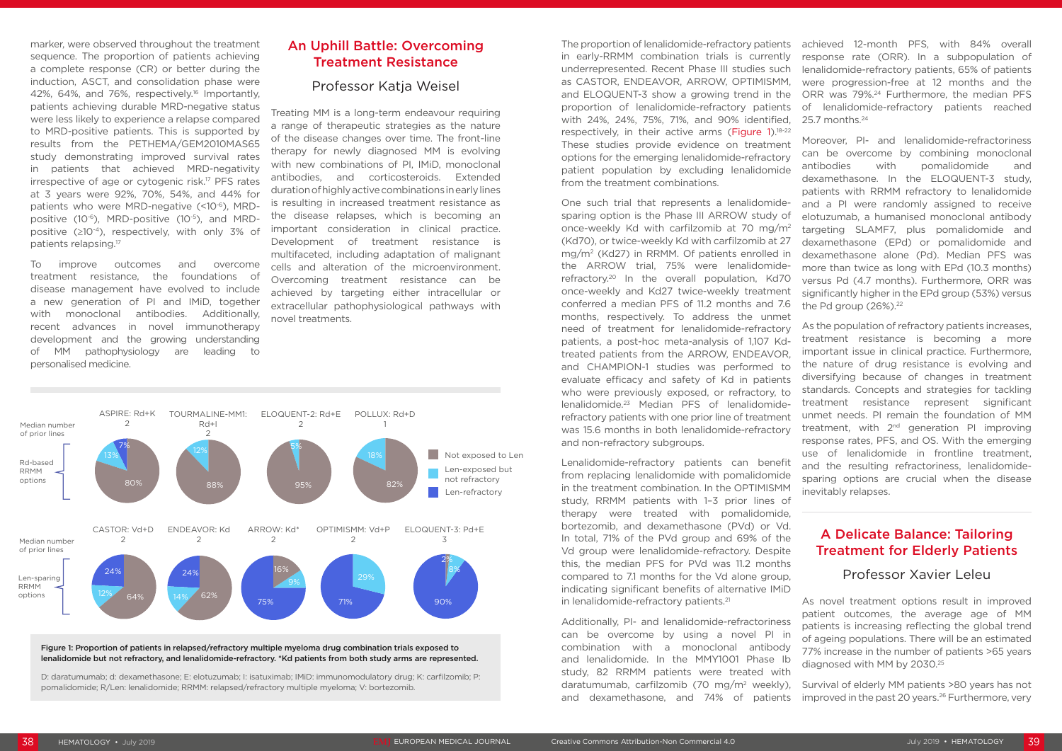marker, were observed throughout the treatment sequence. The proportion of patients achieving a complete response (CR) or better during the induction, ASCT, and consolidation phase were 42%, 64%, and 76%, respectively.16 Importantly, patients achieving durable MRD-negative status were less likely to experience a relapse compared to MRD-positive patients. This is supported by results from the PETHEMA/GEM2010MAS65 study demonstrating improved survival rates in patients that achieved MRD-negativity irrespective of age or cytogenic risk.17 PFS rates at 3 years were 92%, 70%, 54%, and 44% for patients who were MRD-negative (<10-6), MRDpositive (10-6), MRD-positive (10-5), and MRDpositive  $(≥10<sup>-4</sup>)$ , respectively, with only 3% of patients relapsing.17

To improve outcomes and overcome treatment resistance, the foundations of disease management have evolved to include a new generation of PI and IMiD, together with monoclonal antibodies. Additionally, recent advances in novel immunotherapy development and the growing understanding of MM pathophysiology are leading to personalised medicine.

# An Uphill Battle: Overcoming Treatment Resistance

## Professor Katja Weisel

Treating MM is a long-term endeavour requiring a range of therapeutic strategies as the nature of the disease changes over time. The front-line therapy for newly diagnosed MM is evolving with new combinations of PI, IMiD, monoclonal antibodies, and corticosteroids. Extended duration of highly active combinations in early lines is resulting in increased treatment resistance as the disease relapses, which is becoming an important consideration in clinical practice. Development of treatment resistance is multifaceted, including adaptation of malignant cells and alteration of the microenvironment. Overcoming treatment resistance can be achieved by targeting either intracellular or extracellular pathophysiological pathways with novel treatments.

> Lenalidomide-refractory patients can benefit from replacing lenalidomide with pomalidomide in the treatment combination. In the OPTIMISMM study, RRMM patients with 1–3 prior lines of therapy were treated with pomalidomide, bortezomib, and dexamethasone (PVd) or Vd. In total, 71% of the PVd group and 69% of the Vd group were lenalidomide-refractory. Despite this, the median PFS for PVd was 11.2 months compared to 7.1 months for the Vd alone group, indicating significant benefits of alternative IMiD in lenalidomide-refractory patients.<sup>21</sup>

Additionally, PI- and lenalidomide-refractoriness can be overcome by using a novel PI in combination with a monoclonal antibody and lenalidomide. In the MMY1001 Phase Ib study, 82 RRMM patients were treated with daratumumab, carfilzomib (70 mg/m2 weekly), and dexamethasone, and 74% of patients patients is increasing reflecting the global trend of ageing populations. There will be an estimated 77% increase in the number of patients >65 years diagnosed with MM by 2030.25 Survival of elderly MM patients >80 years has not improved in the past 20 years.<sup>26</sup> Furthermore, very

patients with RRMM refractory to lenalidomide and a PI were randomly assigned to receive elotuzumab, a humanised monoclonal antibody targeting SLAMF7, plus pomalidomide and dexamethasone (EPd) or pomalidomide and dexamethasone alone (Pd). Median PFS was more than twice as long with EPd (10.3 months) versus Pd (4.7 months). Furthermore, ORR was significantly higher in the EPd group (53%) versus the Pd group  $(26\%)$ .<sup>22</sup>

One such trial that represents a lenalidomidesparing option is the Phase III ARROW study of once-weekly Kd with carfilzomib at 70 mg/m2 (Kd70), or twice-weekly Kd with carfilzomib at 27 mg/m2 (Kd27) in RRMM. Of patients enrolled in the ARROW trial, 75% were lenalidomiderefractory.20 In the overall population, Kd70 once-weekly and Kd27 twice-weekly treatment conferred a median PFS of 11.2 months and 7.6 months, respectively. To address the unmet need of treatment for lenalidomide-refractory patients, a post-hoc meta-analysis of 1,107 Kdtreated patients from the ARROW, ENDEAVOR, and CHAMPION-1 studies was performed to evaluate efficacy and safety of Kd in patients who were previously exposed, or refractory, to lenalidomide.23 Median PFS of lenalidomiderefractory patients with one prior line of treatment was 15.6 months in both lenalidomide-refractory and non-refractory subgroups.

The proportion of lenalidomide-refractory patients in early-RRMM combination trials is currently underrepresented. Recent Phase III studies such as CASTOR, ENDEAVOR, ARROW, OPTIMISMM, and ELOQUENT-3 show a growing trend in the proportion of lenalidomide-refractory patients with 24%, 24%, 75%, 71%, and 90% identified, respectively, in their active arms (Figure 1).18-22 These studies provide evidence on treatment options for the emerging lenalidomide-refractory patient population by excluding lenalidomide from the treatment combinations. achieved 12-month PFS, with 84% overall response rate (ORR). In a subpopulation of lenalidomide-refractory patients, 65% of patients were progression-free at 12 months and the ORR was 79%.24 Furthermore, the median PFS of lenalidomide-refractory patients reached 25.7 months.24 Moreover, PI- and lenalidomide-refractoriness can be overcome by combining monoclonal antibodies with pomalidomide and dexamethasone. In the ELOQUENT-3 study,

> As the population of refractory patients increases, treatment resistance is becoming a more important issue in clinical practice. Furthermore, the nature of drug resistance is evolving and diversifying because of changes in treatment standards. Concepts and strategies for tackling treatment resistance represent significant unmet needs. PI remain the foundation of MM treatment, with 2<sup>nd</sup> generation PI improving response rates, PFS, and OS. With the emerging use of lenalidomide in frontline treatment, and the resulting refractoriness, lenalidomidesparing options are crucial when the disease inevitably relapses.

# A Delicate Balance: Tailoring Treatment for Elderly Patients

### Professor Xavier Leleu

As novel treatment options result in improved patient outcomes, the average age of MM



Figure 1: Proportion of patients in relapsed/refractory multiple myeloma drug combination trials exposed to lenalidomide but not refractory, and lenalidomide-refractory. \*Kd patients from both study arms are represented.

D: daratumumab; d: dexamethasone; E: elotuzumab; I: isatuximab; IMiD: immunomodulatory drug; K: carfilzomib; P: pomalidomide; R/Len: lenalidomide; RRMM: relapsed/refractory multiple myeloma; V: bortezomib.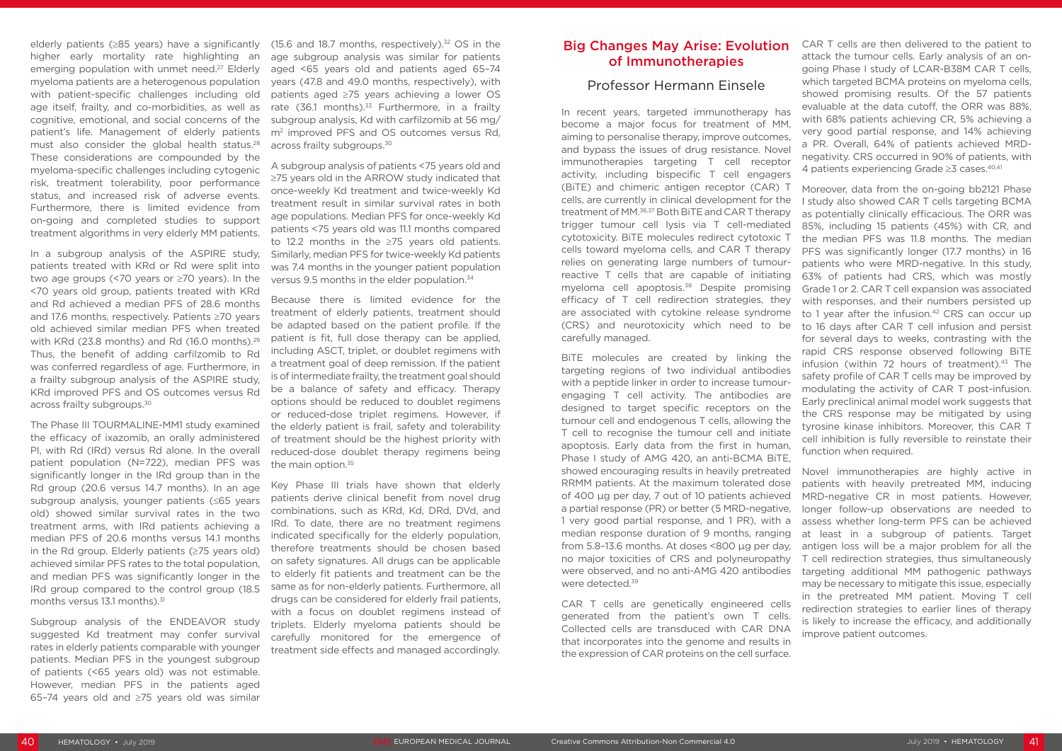In a subgroup analysis of the ASPIRE study, patients treated with KRd or Rd were split into two age groups (<70 years or ≥70 years). In the <70 years old group, patients treated with KRd and Rd achieved a median PFS of 28.6 months and 17.6 months, respectively. Patients ≥70 years old achieved similar median PFS when treated with KRd (23.8 months) and Rd (16.0 months).<sup>29</sup> Thus, the benefit of adding carfilzomib to Rd was conferred regardless of age. Furthermore, in a frailty subgroup analysis of the ASPIRE study, KRd improved PFS and OS outcomes versus Rd across frailty subgroups.<sup>30</sup>

elderly patients (≥85 years) have a significantly higher early mortality rate highlighting an emerging population with unmet need.<sup>27</sup> Elderly myeloma patients are a heterogenous population with patient-specific challenges including old age itself, frailty, and co-morbidities, as well as cognitive, emotional, and social concerns of the patient's life. Management of elderly patients must also consider the global health status.<sup>28</sup> These considerations are compounded by the myeloma-specific challenges including cytogenic risk, treatment tolerability, poor performance status, and increased risk of adverse events. Furthermore, there is limited evidence from on-going and completed studies to support treatment algorithms in very elderly MM patients.

The Phase III TOURMALINE-MM1 study examined the efficacy of ixazomib, an orally administered PI, with Rd (IRd) versus Rd alone. In the overall patient population (N=722), median PFS was significantly longer in the IRd group than in the Rd group (20.6 versus 14.7 months). In an age subgroup analysis, younger patients (≤65 years old) showed similar survival rates in the two treatment arms, with IRd patients achieving a median PFS of 20.6 months versus 14.1 months in the Rd group. Elderly patients (≥75 years old) achieved similar PFS rates to the total population, and median PFS was significantly longer in the IRd group compared to the control group (18.5 months versus 13.1 months).<sup>31</sup>

Because there is limited evidence for the treatment of elderly patients, treatment should be adapted based on the patient profile. If the patient is fit, full dose therapy can be applied, including ASCT, triplet, or doublet regimens with a treatment goal of deep remission. If the patient is of intermediate frailty, the treatment goal should be a balance of safety and efficacy. Therapy options should be reduced to doublet regimens or reduced-dose triplet regimens. However, if the elderly patient is frail, safety and tolerability of treatment should be the highest priority with reduced-dose doublet therapy regimens being the main option.<sup>35</sup>

Subgroup analysis of the ENDEAVOR study suggested Kd treatment may confer survival rates in elderly patients comparable with younger patients. Median PFS in the youngest subgroup of patients (<65 years old) was not estimable. However, median PFS in the patients aged 65–74 years old and ≥75 years old was similar

(15.6 and 18.7 months, respectively). $32$  OS in the age subgroup analysis was similar for patients aged <65 years old and patients aged 65–74 years (47.8 and 49.0 months, respectively), with patients aged ≥75 years achieving a lower OS rate  $(36.1 \text{ months})^{33}$  Furthermore, in a frailty subgroup analysis, Kd with carfilzomib at 56 mg/ m<sup>2</sup> improved PFS and OS outcomes versus Rd. across frailty subgroups.<sup>30</sup>

A subgroup analysis of patients <75 years old and ≥75 years old in the ARROW study indicated that once-weekly Kd treatment and twice-weekly Kd treatment result in similar survival rates in both age populations. Median PFS for once-weekly Kd patients <75 years old was 11.1 months compared to 12.2 months in the ≥75 years old patients. Similarly, median PFS for twice-weekly Kd patients was 7.4 months in the younger patient population versus 9.5 months in the elder population.34

Key Phase III trials have shown that elderly patients derive clinical benefit from novel drug combinations, such as KRd, Kd, DRd, DVd, and IRd. To date, there are no treatment regimens indicated specifically for the elderly population, therefore treatments should be chosen based on safety signatures. All drugs can be applicable to elderly fit patients and treatment can be the same as for non-elderly patients. Furthermore, all drugs can be considered for elderly frail patients, with a focus on doublet regimens instead of triplets. Elderly myeloma patients should be carefully monitored for the emergence of treatment side effects and managed accordingly.

## Big Changes May Arise: Evolution of Immunotherapies

#### Professor Hermann Einsele

In recent years, targeted immunotherapy has become a major focus for treatment of MM, aiming to personalise therapy, improve outcomes, and bypass the issues of drug resistance. Novel immunotherapies targeting T cell receptor activity, including bispecific T cell engagers (BiTE) and chimeric antigen receptor (CAR) T cells, are currently in clinical development for the treatment of MM.36,37 Both BiTE and CAR T therapy trigger tumour cell lysis via T cell-mediated cytotoxicity. BiTE molecules redirect cytotoxic T cells toward myeloma cells, and CAR T therapy relies on generating large numbers of tumourreactive T cells that are capable of initiating myeloma cell apoptosis.<sup>38</sup> Despite promising efficacy of T cell redirection strategies, they are associated with cytokine release syndrome (CRS) and neurotoxicity which need to be carefully managed.

that incorporates into the genome and results in the expression of CAR proteins on the cell surface.

CAR T cells are then delivered to the patient to attack the tumour cells. Early analysis of an ongoing Phase I study of LCAR-B38M CAR T cells, which targeted BCMA proteins on myeloma cells, showed promising results. Of the 57 patients evaluable at the data cutoff, the ORR was 88%, with 68% patients achieving CR, 5% achieving a very good partial response, and 14% achieving a PR. Overall, 64% of patients achieved MRDnegativity. CRS occurred in 90% of patients, with 4 patients experiencing Grade ≥3 cases.40,41

BiTE molecules are created by linking the targeting regions of two individual antibodies with a peptide linker in order to increase tumourengaging T cell activity. The antibodies are designed to target specific receptors on the tumour cell and endogenous T cells, allowing the T cell to recognise the tumour cell and initiate apoptosis. Early data from the first in human, Phase I study of AMG 420, an anti-BCMA BiTE, showed encouraging results in heavily pretreated RRMM patients. At the maximum tolerated dose of 400 µg per day, 7 out of 10 patients achieved a partial response (PR) or better (5 MRD-negative, 1 very good partial response, and 1 PR), with a median response duration of 9 months, ranging from 5.8–13.6 months. At doses <800 µg per day, no major toxicities of CRS and polyneuropathy were observed, and no anti-AMG 420 antibodies were detected.39 CAR T cells are genetically engineered cells generated from the patient's own T cells. Collected cells are transduced with CAR DNA infusion (within 72 hours of treatment).<sup>43</sup> The safety profile of CAR T cells may be improved by modulating the activity of CAR T post-infusion. Early preclinical animal model work suggests that the CRS response may be mitigated by using tyrosine kinase inhibitors. Moreover, this CAR T cell inhibition is fully reversible to reinstate their function when required. Novel immunotherapies are highly active in patients with heavily pretreated MM, inducing MRD-negative CR in most patients. However, longer follow-up observations are needed to assess whether long-term PFS can be achieved at least in a subgroup of patients. Target antigen loss will be a major problem for all the T cell redirection strategies, thus simultaneously targeting additional MM pathogenic pathways may be necessary to mitigate this issue, especially in the pretreated MM patient. Moving T cell redirection strategies to earlier lines of therapy is likely to increase the efficacy, and additionally improve patient outcomes.

Moreover, data from the on-going bb2121 Phase I study also showed CAR T cells targeting BCMA as potentially clinically efficacious. The ORR was 85%, including 15 patients (45%) with CR, and the median PFS was 11.8 months. The median PFS was significantly longer (17.7 months) in 16 patients who were MRD-negative. In this study, 63% of patients had CRS, which was mostly Grade 1 or 2. CAR T cell expansion was associated with responses, and their numbers persisted up to 1 year after the infusion.<sup>42</sup> CRS can occur up to 16 days after CAR T cell infusion and persist for several days to weeks, contrasting with the rapid CRS response observed following BiTE